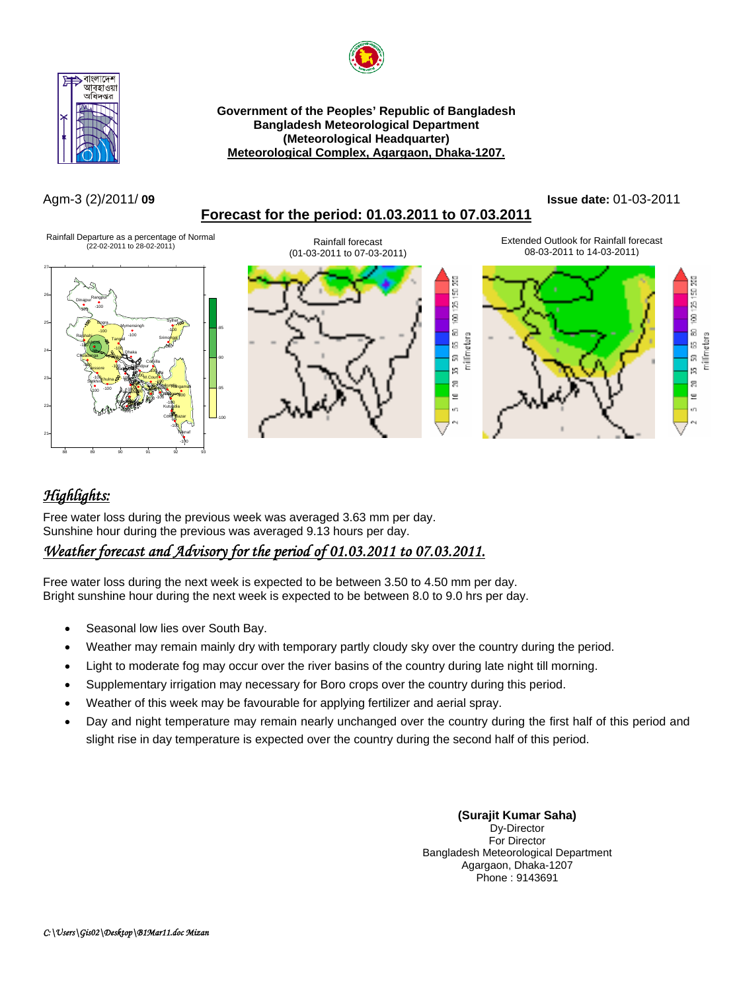



**Government of the Peoples' Republic of Bangladesh Bangladesh Meteorological Department (Meteorological Headquarter) Meteorological Complex, Agargaon, Dhaka-1207.**

### Agm-3 (2)/2011/ **09 Issue date:** 01-03-2011





# *Highlights:*

88 89 90 91 92 93

Free water loss during the previous week was averaged 3.63 mm per day. Sunshine hour during the previous was averaged 9.13 hours per day.

# *Weather forecast and Advisory for the period of 01.03.2011 to 07.03.2011.*

Free water loss during the next week is expected to be between 3.50 to 4.50 mm per day. Bright sunshine hour during the next week is expected to be between 8.0 to 9.0 hrs per day.

- Seasonal low lies over South Bay.
- Weather may remain mainly dry with temporary partly cloudy sky over the country during the period.
- Light to moderate fog may occur over the river basins of the country during late night till morning.
- Supplementary irrigation may necessary for Boro crops over the country during this period.
- Weather of this week may be favourable for applying fertilizer and aerial spray.
- Day and night temperature may remain nearly unchanged over the country during the first half of this period and slight rise in day temperature is expected over the country during the second half of this period.

**(Surajit Kumar Saha)**  Dy-Director For Director Bangladesh Meteorological Department Agargaon, Dhaka-1207 Phone : 9143691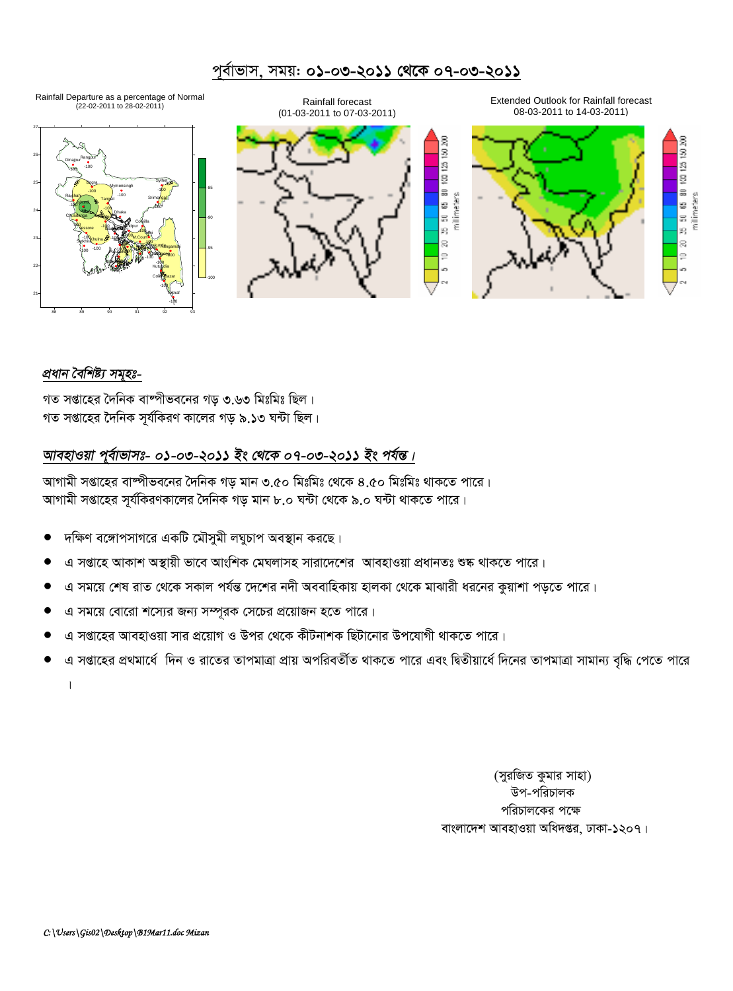## পূৰ্বাভাস, সময়: **০১-০৩-২০১১ থেকে ০৭-০৩-২০১১**



#### *প্ৰধান বৈশিষ্ট্য সমূহঃ-*

গত সপ্তাহের দৈনিক বাষ্পীভবনের গড় ৩.৬৩ মিঃমিঃ ছিল। গত সপ্তাহের দৈনিক সূর্যকিরণ কালের গড় ৯.১৩ ঘন্টা ছিল।

## আবহাওয়া পূৰ্বাভাসঃ- ০১-০৩-২০১১ ইং থেকে ০৭-০৩-২০১১ ইং পৰ্যন্ত।

আগামী সপ্তাহের বাম্পীভবনের দৈনিক গড় মান ৩.৫০ মিঃমিঃ থেকে ৪.৫০ মিঃমিঃ থাকতে পারে। আগামী সপ্তাহের সূর্যকিরণকালের দৈনিক গড় মান ৮.০ ঘন্টা থেকে ৯.০ ঘন্টা থাকতে পারে।

- দক্ষিণ বঙ্গোপসাগরে একটি মৌসুমী লঘুচাপ অবস্থান করছে।
- এ সপ্তাহে আকাশ অস্থায়ী ভাবে আংশিক মেঘলাসহ সারাদেশের আবহাওয়া প্রধানতঃ শুষ্ক থাকতে পারে।
- এ সময়ে শেষ রাত থেকে সকাল পর্যন্ত দেশের নদী অববাহিকায় হালকা থেকে মাঝারী ধরনের কুয়াশা পড়তে পারে।
- এ সময়ে বোরো শস্যের জন্য সম্পূরক সেচের প্রয়োজন হতে পারে।
- এ সপ্তাহের আবহাওয়া সার প্রয়োগ ও উপর থেকে কীটনাশক ছিটানোর উপযোগী থাকতে পারে।
- এ সপ্তাহের প্রথমার্ধে দিন ও রাতের তাপমাত্রা প্রায় অপরিবর্তীত থাকতে পারে এবং দ্বিতীয়ার্ধে দিনের তাপমাত্রা সামান্য বৃদ্ধি পেতে পারে

 $\ensuremath{\mathsf{I}}$ 

(সুরজিত কুমার সাহা) উপ-পরিচালক পরিচালকের পক্ষে বাংলাদেশ আবহাওয়া অধিদপ্তর, ঢাকা-১২০৭।